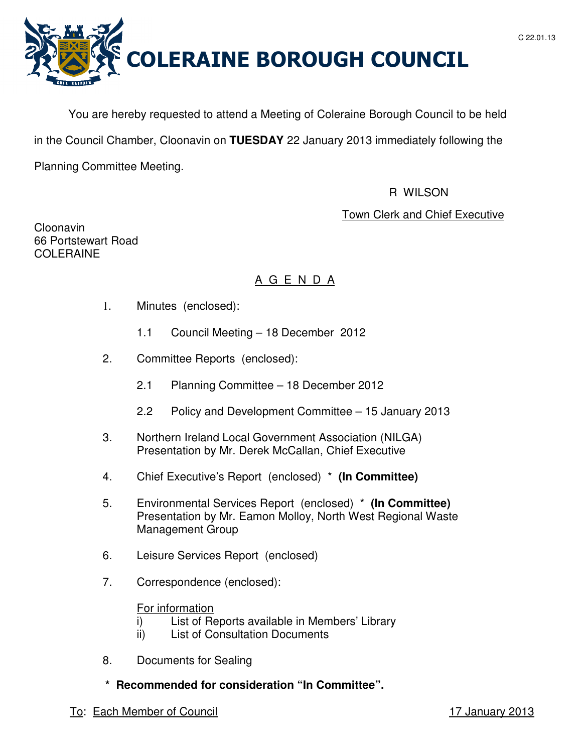



You are hereby requested to attend a Meeting of Coleraine Borough Council to be held in the Council Chamber, Cloonavin on **TUESDAY** 22 January 2013 immediately following the Planning Committee Meeting.

## R WILSON

## Town Clerk and Chief Executive

Cloonavin 66 Portstewart Road COLERAINE

# A G E N D A

- 1. Minutes (enclosed):
	- 1.1 Council Meeting 18 December 2012
- 2. Committee Reports (enclosed):
	- 2.1 Planning Committee 18 December 2012
	- 2.2 Policy and Development Committee 15 January 2013
- 3. Northern Ireland Local Government Association (NILGA) Presentation by Mr. Derek McCallan, Chief Executive
- 4. Chief Executive's Report (enclosed) \* **(In Committee)**
- 5. Environmental Services Report (enclosed) \* **(In Committee)**  Presentation by Mr. Eamon Molloy, North West Regional Waste Management Group
- 6. Leisure Services Report (enclosed)
- 7. Correspondence (enclosed):

## For information

- i) List of Reports available in Members' Library
- ii) List of Consultation Documents
- 8. Documents for Sealing
- **\* Recommended for consideration "In Committee".**
- To: Each Member of Council 17 January 2013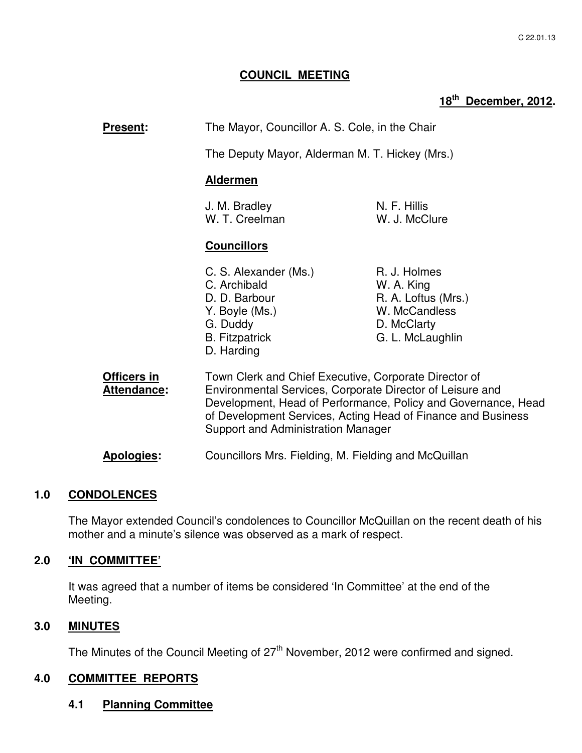## **COUNCIL MEETING**

# **18th December, 2012.**

| Present:                          | The Mayor, Councillor A. S. Cole, in the Chair<br>The Deputy Mayor, Alderman M. T. Hickey (Mrs.)<br><b>Aldermen</b>                                                                                                                                                                       |                                                                                                       |
|-----------------------------------|-------------------------------------------------------------------------------------------------------------------------------------------------------------------------------------------------------------------------------------------------------------------------------------------|-------------------------------------------------------------------------------------------------------|
|                                   |                                                                                                                                                                                                                                                                                           |                                                                                                       |
|                                   |                                                                                                                                                                                                                                                                                           |                                                                                                       |
|                                   | J. M. Bradley<br>W. T. Creelman                                                                                                                                                                                                                                                           | N. F. Hillis<br>W. J. McClure                                                                         |
|                                   | <b>Councillors</b>                                                                                                                                                                                                                                                                        |                                                                                                       |
|                                   | C. S. Alexander (Ms.)<br>C. Archibald<br>D. D. Barbour<br>Y. Boyle (Ms.)<br>G. Duddy<br><b>B.</b> Fitzpatrick<br>D. Harding                                                                                                                                                               | R. J. Holmes<br>W. A. King<br>R. A. Loftus (Mrs.)<br>W. McCandless<br>D. McClarty<br>G. L. McLaughlin |
| Officers in<br><b>Attendance:</b> | Town Clerk and Chief Executive, Corporate Director of<br>Environmental Services, Corporate Director of Leisure and<br>Development, Head of Performance, Policy and Governance, Head<br>of Development Services, Acting Head of Finance and Business<br>Support and Administration Manager |                                                                                                       |
| <b>Apologies:</b>                 | Councillors Mrs. Fielding, M. Fielding and McQuillan                                                                                                                                                                                                                                      |                                                                                                       |

#### **1.0 CONDOLENCES**

The Mayor extended Council's condolences to Councillor McQuillan on the recent death of his mother and a minute's silence was observed as a mark of respect.

## **2.0 'IN COMMITTEE'**

 It was agreed that a number of items be considered 'In Committee' at the end of the Meeting.

#### **3.0 MINUTES**

The Minutes of the Council Meeting of 27<sup>th</sup> November, 2012 were confirmed and signed.

#### **4.0 COMMITTEE REPORTS**

**4.1 Planning Committee**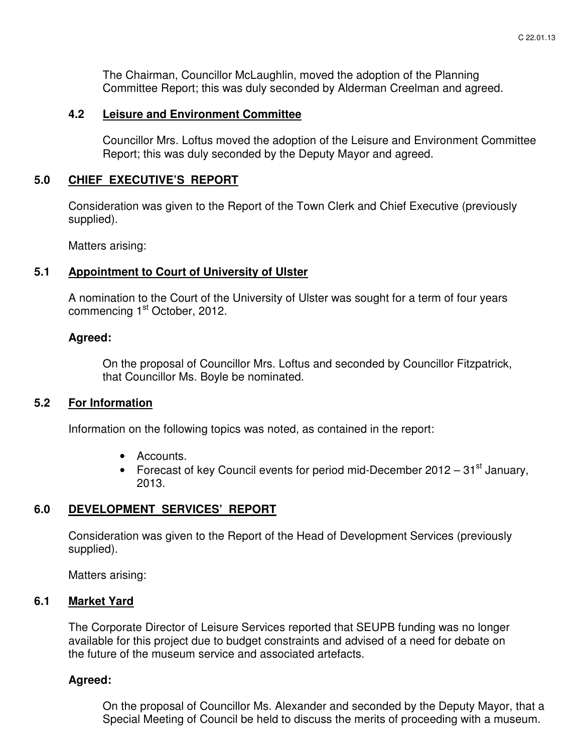The Chairman, Councillor McLaughlin, moved the adoption of the Planning Committee Report; this was duly seconded by Alderman Creelman and agreed.

## **4.2 Leisure and Environment Committee**

Councillor Mrs. Loftus moved the adoption of the Leisure and Environment Committee Report; this was duly seconded by the Deputy Mayor and agreed.

## **5.0 CHIEF EXECUTIVE'S REPORT**

Consideration was given to the Report of the Town Clerk and Chief Executive (previously supplied).

Matters arising:

## **5.1 Appointment to Court of University of Ulster**

 A nomination to the Court of the University of Ulster was sought for a term of four years commencing 1<sup>st</sup> October, 2012.

## **Agreed:**

 On the proposal of Councillor Mrs. Loftus and seconded by Councillor Fitzpatrick, that Councillor Ms. Boyle be nominated.

## **5.2 For Information**

Information on the following topics was noted, as contained in the report:

- Accounts.
- Forecast of key Council events for period mid-December  $2012 31<sup>st</sup>$  January, 2013.

# **6.0 DEVELOPMENT SERVICES' REPORT**

Consideration was given to the Report of the Head of Development Services (previously supplied).

Matters arising:

## **6.1 Market Yard**

 The Corporate Director of Leisure Services reported that SEUPB funding was no longer available for this project due to budget constraints and advised of a need for debate on the future of the museum service and associated artefacts.

## **Agreed:**

On the proposal of Councillor Ms. Alexander and seconded by the Deputy Mayor, that a Special Meeting of Council be held to discuss the merits of proceeding with a museum.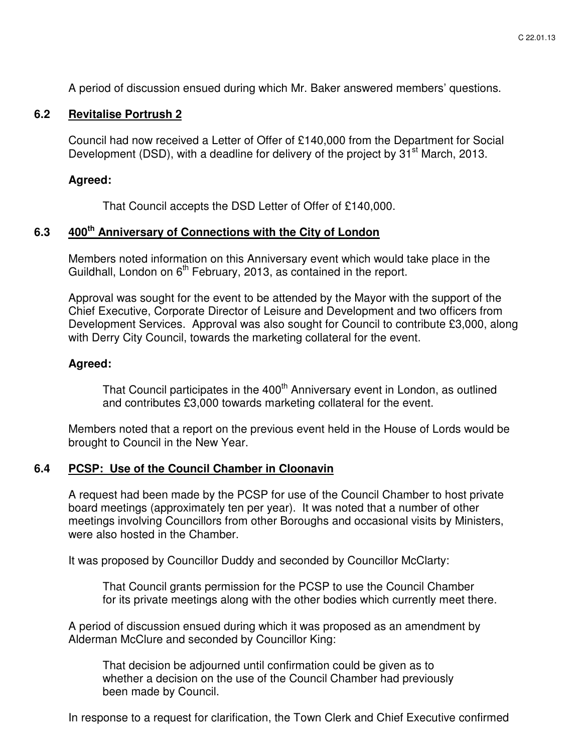A period of discussion ensued during which Mr. Baker answered members' questions.

#### **6.2 Revitalise Portrush 2**

Council had now received a Letter of Offer of £140,000 from the Department for Social Development (DSD), with a deadline for delivery of the project by  $31<sup>st</sup>$  March, 2013.

#### **Agreed:**

That Council accepts the DSD Letter of Offer of £140,000.

# **6.3 400th Anniversary of Connections with the City of London**

 Members noted information on this Anniversary event which would take place in the Guildhall, London on  $6<sup>th</sup>$  February, 2013, as contained in the report.

Approval was sought for the event to be attended by the Mayor with the support of the Chief Executive, Corporate Director of Leisure and Development and two officers from Development Services. Approval was also sought for Council to contribute £3,000, along with Derry City Council, towards the marketing collateral for the event.

#### **Agreed:**

That Council participates in the 400<sup>th</sup> Anniversary event in London, as outlined and contributes £3,000 towards marketing collateral for the event.

Members noted that a report on the previous event held in the House of Lords would be brought to Council in the New Year.

## **6.4 PCSP: Use of the Council Chamber in Cloonavin**

 A request had been made by the PCSP for use of the Council Chamber to host private board meetings (approximately ten per year). It was noted that a number of other meetings involving Councillors from other Boroughs and occasional visits by Ministers, were also hosted in the Chamber.

It was proposed by Councillor Duddy and seconded by Councillor McClarty:

 That Council grants permission for the PCSP to use the Council Chamber for its private meetings along with the other bodies which currently meet there.

A period of discussion ensued during which it was proposed as an amendment by Alderman McClure and seconded by Councillor King:

 That decision be adjourned until confirmation could be given as to whether a decision on the use of the Council Chamber had previously been made by Council.

In response to a request for clarification, the Town Clerk and Chief Executive confirmed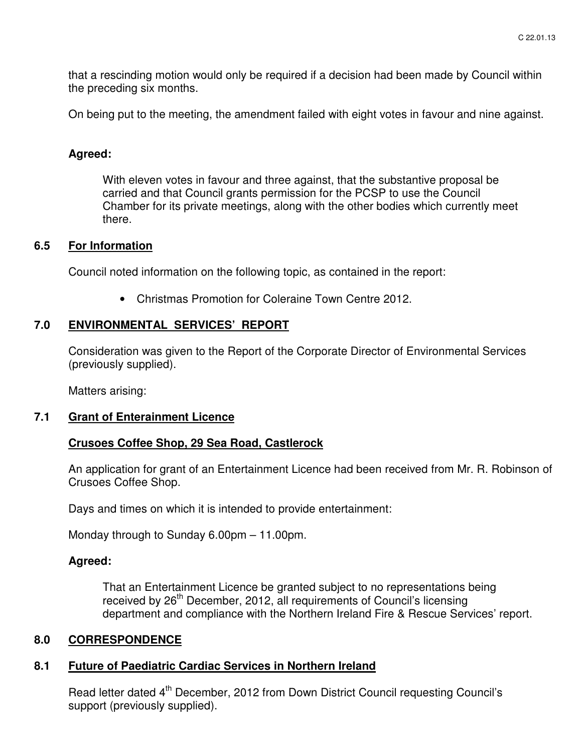that a rescinding motion would only be required if a decision had been made by Council within the preceding six months.

On being put to the meeting, the amendment failed with eight votes in favour and nine against.

#### **Agreed:**

With eleven votes in favour and three against, that the substantive proposal be carried and that Council grants permission for the PCSP to use the Council Chamber for its private meetings, along with the other bodies which currently meet there.

#### **6.5 For Information**

Council noted information on the following topic, as contained in the report:

• Christmas Promotion for Coleraine Town Centre 2012.

## **7.0 ENVIRONMENTAL SERVICES' REPORT**

Consideration was given to the Report of the Corporate Director of Environmental Services (previously supplied).

Matters arising:

#### **7.1 Grant of Enterainment Licence**

## **Crusoes Coffee Shop, 29 Sea Road, Castlerock**

An application for grant of an Entertainment Licence had been received from Mr. R. Robinson of Crusoes Coffee Shop.

Days and times on which it is intended to provide entertainment:

Monday through to Sunday 6.00pm – 11.00pm.

## **Agreed:**

That an Entertainment Licence be granted subject to no representations being received by 26<sup>th</sup> December, 2012, all requirements of Council's licensing department and compliance with the Northern Ireland Fire & Rescue Services' report.

#### **8.0 CORRESPONDENCE**

# **8.1 Future of Paediatric Cardiac Services in Northern Ireland**

Read letter dated 4<sup>th</sup> December, 2012 from Down District Council requesting Council's support (previously supplied).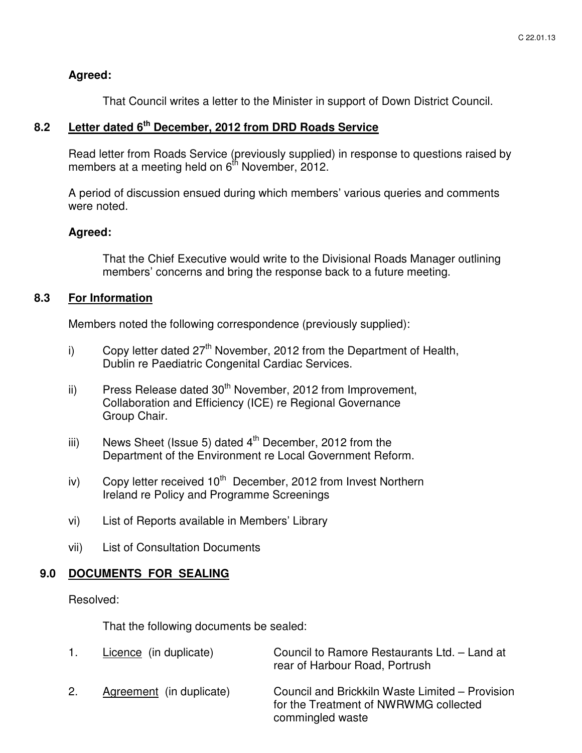## **Agreed:**

That Council writes a letter to the Minister in support of Down District Council.

# **8.2 Letter dated 6th December, 2012 from DRD Roads Service**

 Read letter from Roads Service (previously supplied) in response to questions raised by members at a meeting held on 6<sup>th</sup> November, 2012.

A period of discussion ensued during which members' various queries and comments were noted.

## **Agreed:**

That the Chief Executive would write to the Divisional Roads Manager outlining members' concerns and bring the response back to a future meeting.

## **8.3 For Information**

Members noted the following correspondence (previously supplied):

- i) Copy letter dated  $27<sup>th</sup>$  November, 2012 from the Department of Health, Dublin re Paediatric Congenital Cardiac Services.
- ii) Press Release dated  $30<sup>th</sup>$  November, 2012 from Improvement, Collaboration and Efficiency (ICE) re Regional Governance Group Chair.
- iii) News Sheet (Issue 5) dated  $4<sup>th</sup>$  December, 2012 from the Department of the Environment re Local Government Reform.
- iv) Copy letter received  $10<sup>th</sup>$  December, 2012 from Invest Northern Ireland re Policy and Programme Screenings
- vi) List of Reports available in Members' Library
- vii) List of Consultation Documents

## **9.0 DOCUMENTS FOR SEALING**

Resolved:

That the following documents be sealed:

| $\overline{1}$ . | Licence (in duplicate)   | Council to Ramore Restaurants Ltd. - Land at<br>rear of Harbour Road, Portrush                               |
|------------------|--------------------------|--------------------------------------------------------------------------------------------------------------|
| <sup>2.</sup>    | Agreement (in duplicate) | Council and Brickkiln Waste Limited - Provision<br>for the Treatment of NWRWMG collected<br>commingled waste |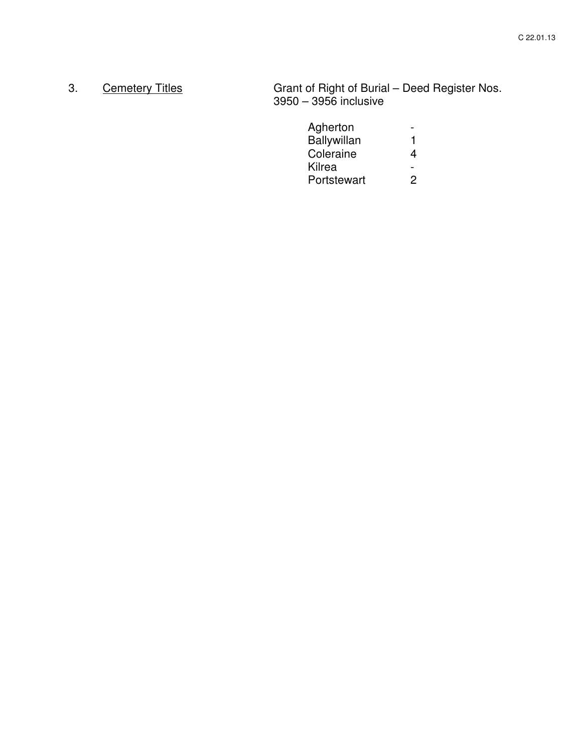3. Cemetery Titles Grant of Right of Burial – Deed Register Nos. 3950 – 3956 inclusive

| Agherton           | $\overline{\phantom{0}}$ |
|--------------------|--------------------------|
| <b>Ballywillan</b> |                          |
| Coleraine          | 4                        |
| Kilrea             | $\overline{\phantom{0}}$ |
| Portstewart        | $\mathcal{P}$            |
|                    |                          |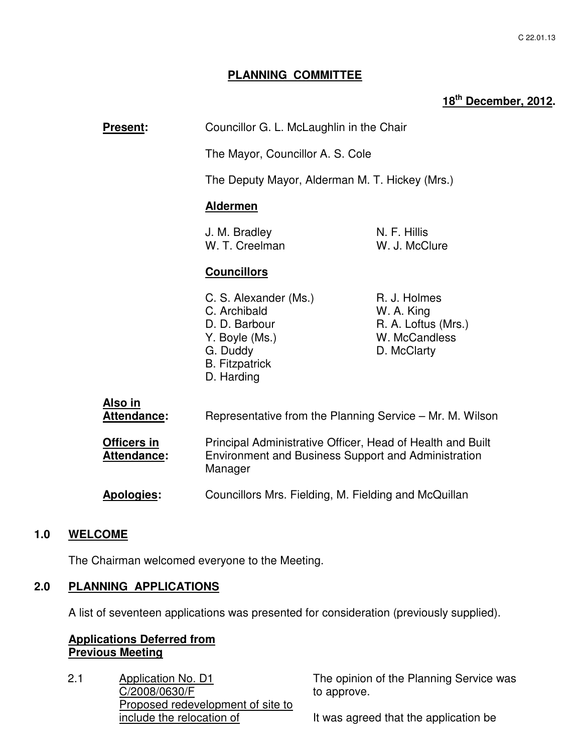## **PLANNING COMMITTEE**

# **18th December, 2012.**

| Present:                   | Councillor G. L. McLaughlin in the Chair                                                                                     |                                                                                   |
|----------------------------|------------------------------------------------------------------------------------------------------------------------------|-----------------------------------------------------------------------------------|
|                            | The Mayor, Councillor A. S. Cole                                                                                             |                                                                                   |
|                            | The Deputy Mayor, Alderman M. T. Hickey (Mrs.)<br><b>Aldermen</b>                                                            |                                                                                   |
|                            |                                                                                                                              |                                                                                   |
|                            | J. M. Bradley<br>W. T. Creelman                                                                                              | N. F. Hillis<br>W. J. McClure                                                     |
|                            | <b>Councillors</b>                                                                                                           |                                                                                   |
|                            | C. S. Alexander (Ms.)<br>C. Archibald<br>D. D. Barbour<br>Y. Boyle (Ms.)<br>G. Duddy<br><b>B.</b> Fitzpatrick<br>D. Harding  | R. J. Holmes<br>W. A. King<br>R. A. Loftus (Mrs.)<br>W. McCandless<br>D. McClarty |
| Also in<br>Attendance:     | Representative from the Planning Service – Mr. M. Wilson                                                                     |                                                                                   |
| Officers in<br>Attendance: | Principal Administrative Officer, Head of Health and Built<br>Environment and Business Support and Administration<br>Manager |                                                                                   |
| <b>Apologies:</b>          | Councillors Mrs. Fielding, M. Fielding and McQuillan                                                                         |                                                                                   |

## **1.0 WELCOME**

The Chairman welcomed everyone to the Meeting.

## **2.0 PLANNING APPLICATIONS**

A list of seventeen applications was presented for consideration (previously supplied).

## **Applications Deferred from Previous Meeting**

2.1 Application No. D1 C/2008/0630/F Proposed redevelopment of site to include the relocation of

The opinion of the Planning Service was to approve.

It was agreed that the application be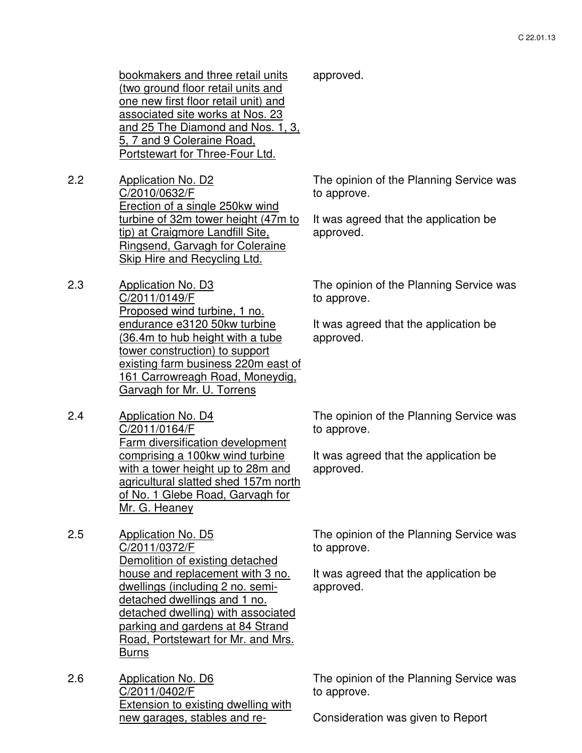bookmakers and three retail units (two ground floor retail units and one new first floor retail unit) and associated site works at Nos. 23 and 25 The Diamond and Nos. 1, 3, 5, 7 and 9 Coleraine Road, Portstewart for Three-Four Ltd.

- 2.2 Application No. D2 C/2010/0632/F Erection of a single 250kw wind turbine of 32m tower height (47m to tip) at Craigmore Landfill Site, Ringsend, Garvagh for Coleraine Skip Hire and Recycling Ltd.
- 2.3 Application No. D3 C/2011/0149/F Proposed wind turbine, 1 no. endurance e3120 50kw turbine (36.4m to hub height with a tube tower construction) to support existing farm business 220m east of 161 Carrowreagh Road, Moneydig, Garvagh for Mr. U. Torrens
- 2.4 Application No. D4 C/2011/0164/F Farm diversification development comprising a 100kw wind turbine with a tower height up to 28m and agricultural slatted shed 157m north of No. 1 Glebe Road, Garvagh for Mr. G. Heaney
- 2.5 Application No. D5 C/2011/0372/F Demolition of existing detached house and replacement with 3 no. dwellings (including 2 no. semidetached dwellings and 1 no. detached dwelling) with associated parking and gardens at 84 Strand Road, Portstewart for Mr. and Mrs. Burns
- 2.6 Application No. D6 C/2011/0402/F Extension to existing dwelling with new garages, stables and re-

approved.

The opinion of the Planning Service was to approve.

It was agreed that the application be approved.

The opinion of the Planning Service was to approve.

It was agreed that the application be approved.

The opinion of the Planning Service was to approve.

It was agreed that the application be approved.

The opinion of the Planning Service was to approve.

It was agreed that the application be approved.

The opinion of the Planning Service was to approve.

Consideration was given to Report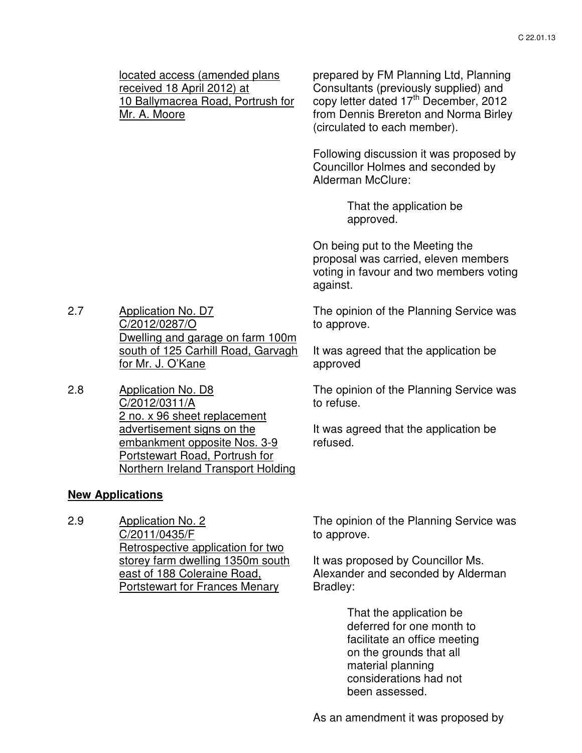located access (amended plans received 18 April 2012) at 10 Ballymacrea Road, Portrush for Mr. A. Moore

prepared by FM Planning Ltd, Planning Consultants (previously supplied) and copy letter dated 17<sup>th</sup> December, 2012 from Dennis Brereton and Norma Birley (circulated to each member).

Following discussion it was proposed by Councillor Holmes and seconded by Alderman McClure:

> That the application be approved.

On being put to the Meeting the proposal was carried, eleven members voting in favour and two members voting against.

The opinion of the Planning Service was to approve.

> It was agreed that the application be approved

The opinion of the Planning Service was to refuse.

It was agreed that the application be refused.

2.7 Application No. D7 C/2012/0287/O Dwelling and garage on farm 100m south of 125 Carhill Road, Garvagh for Mr. J. O'Kane

2.8 Application No. D8 C/2012/0311/A 2 no. x 96 sheet replacement advertisement signs on the embankment opposite Nos. 3-9 Portstewart Road, Portrush for Northern Ireland Transport Holding

## **New Applications**

2.9 Application No. 2 C/2011/0435/F Retrospective application for two storey farm dwelling 1350m south east of 188 Coleraine Road, Portstewart for Frances Menary

The opinion of the Planning Service was to approve.

It was proposed by Councillor Ms. Alexander and seconded by Alderman Bradley:

> That the application be deferred for one month to facilitate an office meeting on the grounds that all material planning considerations had not been assessed.

As an amendment it was proposed by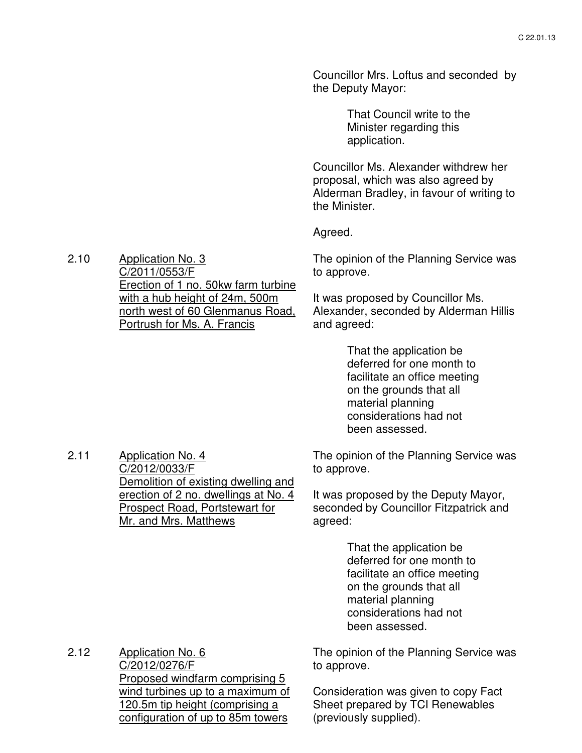Councillor Mrs. Loftus and seconded by the Deputy Mayor:

> That Council write to the Minister regarding this application.

Councillor Ms. Alexander withdrew her proposal, which was also agreed by Alderman Bradley, in favour of writing to the Minister.

#### Agreed.

The opinion of the Planning Service was to approve.

It was proposed by Councillor Ms. Alexander, seconded by Alderman Hillis and agreed:

> That the application be deferred for one month to facilitate an office meeting on the grounds that all material planning considerations had not been assessed.

2.11 Application No. 4 C/2012/0033/F Demolition of existing dwelling and erection of 2 no. dwellings at No. 4 Prospect Road, Portstewart for Mr. and Mrs. Matthews

The opinion of the Planning Service was to approve.

It was proposed by the Deputy Mayor, seconded by Councillor Fitzpatrick and agreed:

> That the application be deferred for one month to facilitate an office meeting on the grounds that all material planning considerations had not been assessed.

2.12 Application No. 6 C/2012/0276/F Proposed windfarm comprising 5 wind turbines up to a maximum of 120.5m tip height (comprising a configuration of up to 85m towers

The opinion of the Planning Service was to approve.

Consideration was given to copy Fact Sheet prepared by TCI Renewables (previously supplied).

2.10 Application No. 3 C/2011/0553/F Erection of 1 no. 50kw farm turbine with a hub height of 24m, 500m north west of 60 Glenmanus Road,

Portrush for Ms. A. Francis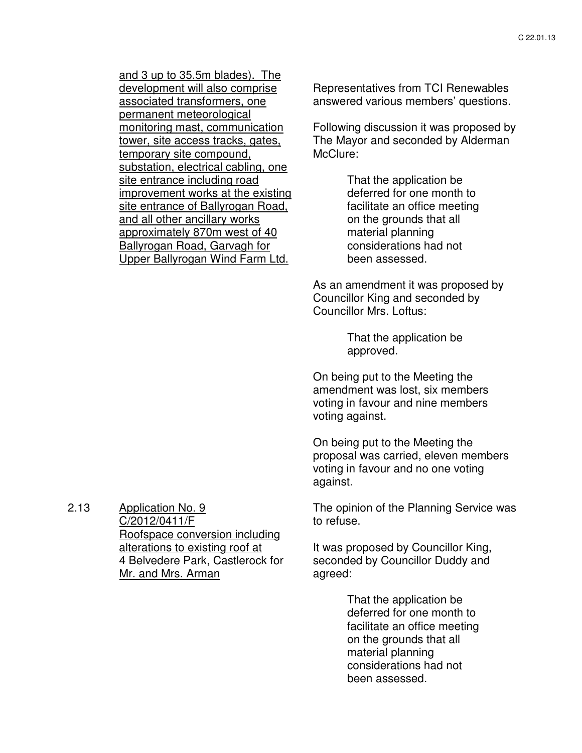and 3 up to 35.5m blades). The development will also comprise associated transformers, one permanent meteorological monitoring mast, communication tower, site access tracks, gates, temporary site compound, substation, electrical cabling, one site entrance including road improvement works at the existing site entrance of Ballyrogan Road, and all other ancillary works approximately 870m west of 40 Ballyrogan Road, Garvagh for Upper Ballyrogan Wind Farm Ltd.

Representatives from TCI Renewables answered various members' questions.

Following discussion it was proposed by The Mayor and seconded by Alderman McClure:

> That the application be deferred for one month to facilitate an office meeting on the grounds that all material planning considerations had not been assessed.

As an amendment it was proposed by Councillor King and seconded by Councillor Mrs. Loftus:

> That the application be approved.

On being put to the Meeting the amendment was lost, six members voting in favour and nine members voting against.

On being put to the Meeting the proposal was carried, eleven members voting in favour and no one voting against.

The opinion of the Planning Service was to refuse.

It was proposed by Councillor King, seconded by Councillor Duddy and agreed:

> That the application be deferred for one month to facilitate an office meeting on the grounds that all material planning considerations had not been assessed.

2.13 Application No. 9 C/2012/0411/F Roofspace conversion including alterations to existing roof at 4 Belvedere Park, Castlerock for Mr. and Mrs. Arman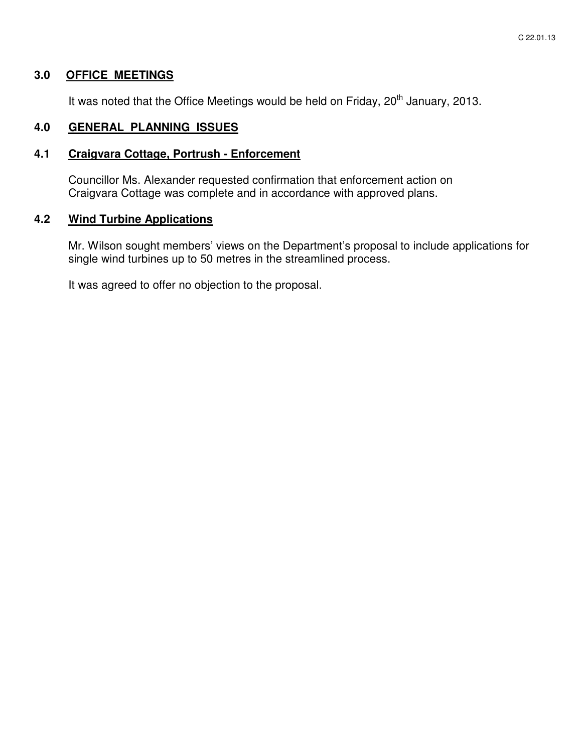## **3.0 OFFICE MEETINGS**

It was noted that the Office Meetings would be held on Friday, 20<sup>th</sup> January, 2013.

## **4.0 GENERAL PLANNING ISSUES**

#### **4.1 Craigvara Cottage, Portrush - Enforcement**

Councillor Ms. Alexander requested confirmation that enforcement action on Craigvara Cottage was complete and in accordance with approved plans.

#### **4.2 Wind Turbine Applications**

Mr. Wilson sought members' views on the Department's proposal to include applications for single wind turbines up to 50 metres in the streamlined process.

It was agreed to offer no objection to the proposal.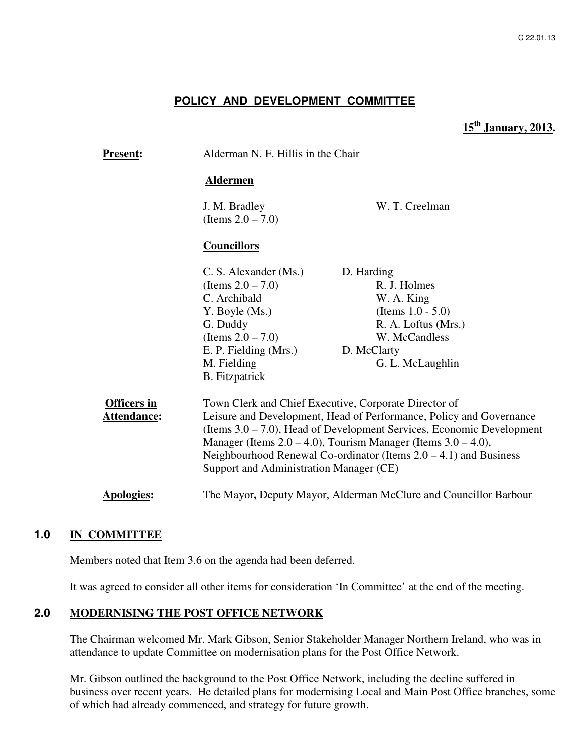#### **POLICY AND DEVELOPMENT COMMITTEE**

#### **15th January, 2013.**

| <b>Present:</b>    | Alderman N. F. Hillis in the Chair                                                                              |                                                                       |  |  |
|--------------------|-----------------------------------------------------------------------------------------------------------------|-----------------------------------------------------------------------|--|--|
|                    | <b>Aldermen</b>                                                                                                 |                                                                       |  |  |
|                    | J. M. Bradley<br>(Items $2.0 - 7.0$ )                                                                           | W. T. Creelman                                                        |  |  |
|                    | <b>Councillors</b>                                                                                              |                                                                       |  |  |
|                    | C. S. Alexander (Ms.)                                                                                           | D. Harding                                                            |  |  |
|                    | (Items $2.0 - 7.0$ )                                                                                            | R. J. Holmes                                                          |  |  |
|                    | C. Archibald                                                                                                    | W. A. King                                                            |  |  |
|                    | Y. Boyle (Ms.)                                                                                                  | (Items $1.0 - 5.0$ )                                                  |  |  |
|                    | G. Duddy                                                                                                        | R. A. Loftus (Mrs.)                                                   |  |  |
|                    | (Items $2.0 - 7.0$ )                                                                                            | W. McCandless                                                         |  |  |
|                    | E. P. Fielding (Mrs.)                                                                                           | D. McClarty                                                           |  |  |
|                    | M. Fielding                                                                                                     | G. L. McLaughlin                                                      |  |  |
|                    | <b>B.</b> Fitzpatrick                                                                                           |                                                                       |  |  |
| <b>Officers in</b> | Town Clerk and Chief Executive, Corporate Director of                                                           |                                                                       |  |  |
| Attendance:        |                                                                                                                 | Leisure and Development, Head of Performance, Policy and Governance   |  |  |
|                    |                                                                                                                 | (Items 3.0 – 7.0), Head of Development Services, Economic Development |  |  |
|                    |                                                                                                                 | Manager (Items $2.0 - 4.0$ ), Tourism Manager (Items $3.0 - 4.0$ ),   |  |  |
|                    | Neighbourhood Renewal Co-ordinator (Items $2.0 - 4.1$ ) and Business<br>Support and Administration Manager (CE) |                                                                       |  |  |
|                    |                                                                                                                 |                                                                       |  |  |
| <b>Apologies:</b>  |                                                                                                                 | The Mayor, Deputy Mayor, Alderman McClure and Councillor Barbour      |  |  |
|                    |                                                                                                                 |                                                                       |  |  |

## **1.0 IN COMMITTEE**

Members noted that Item 3.6 on the agenda had been deferred.

It was agreed to consider all other items for consideration 'In Committee' at the end of the meeting.

#### **2.0 MODERNISING THE POST OFFICE NETWORK**

The Chairman welcomed Mr. Mark Gibson, Senior Stakeholder Manager Northern Ireland, who was in attendance to update Committee on modernisation plans for the Post Office Network.

Mr. Gibson outlined the background to the Post Office Network, including the decline suffered in business over recent years. He detailed plans for modernising Local and Main Post Office branches, some of which had already commenced, and strategy for future growth.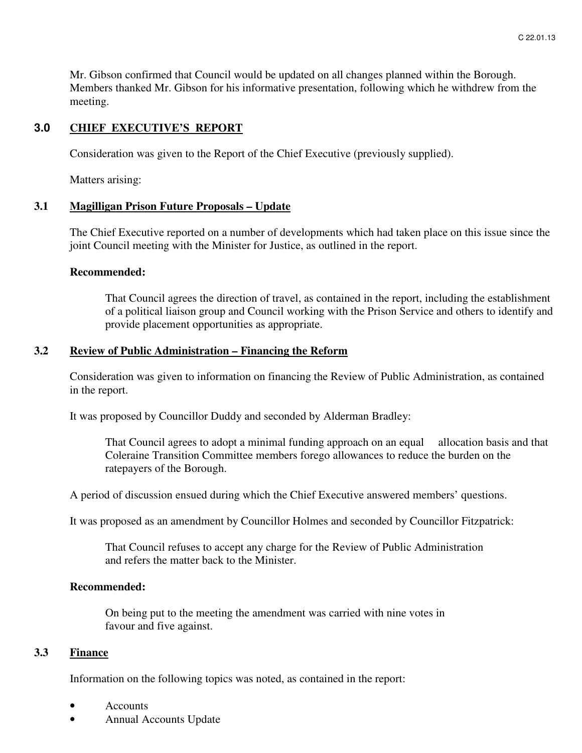Mr. Gibson confirmed that Council would be updated on all changes planned within the Borough. Members thanked Mr. Gibson for his informative presentation, following which he withdrew from the meeting.

## **3.0 CHIEF EXECUTIVE'S REPORT**

Consideration was given to the Report of the Chief Executive (previously supplied).

Matters arising:

## **3.1 Magilligan Prison Future Proposals – Update**

The Chief Executive reported on a number of developments which had taken place on this issue since the joint Council meeting with the Minister for Justice, as outlined in the report.

## **Recommended:**

 That Council agrees the direction of travel, as contained in the report, including the establishment of a political liaison group and Council working with the Prison Service and others to identify and provide placement opportunities as appropriate.

## **3.2 Review of Public Administration – Financing the Reform**

Consideration was given to information on financing the Review of Public Administration, as contained in the report.

It was proposed by Councillor Duddy and seconded by Alderman Bradley:

That Council agrees to adopt a minimal funding approach on an equal allocation basis and that Coleraine Transition Committee members forego allowances to reduce the burden on the ratepayers of the Borough.

A period of discussion ensued during which the Chief Executive answered members' questions.

It was proposed as an amendment by Councillor Holmes and seconded by Councillor Fitzpatrick:

 That Council refuses to accept any charge for the Review of Public Administration and refers the matter back to the Minister.

## **Recommended:**

 On being put to the meeting the amendment was carried with nine votes in favour and five against.

## **3.3 Finance**

Information on the following topics was noted, as contained in the report:

- **Accounts**
- Annual Accounts Update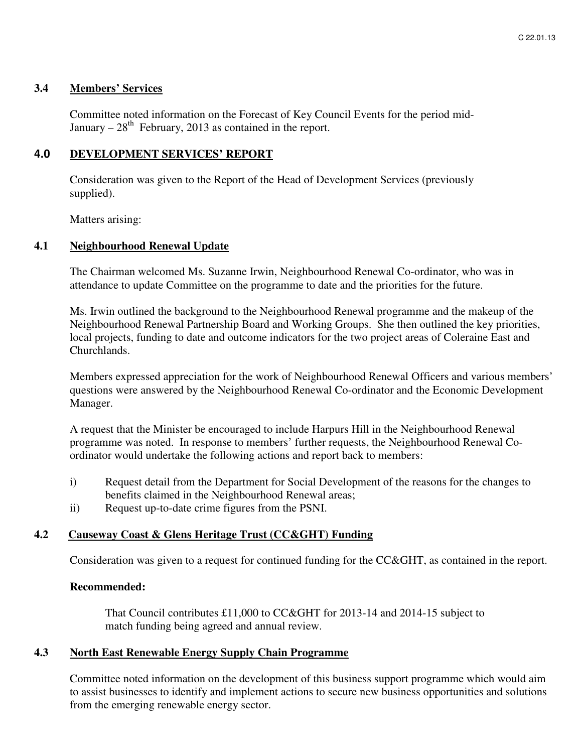#### **3.4 Members' Services**

 Committee noted information on the Forecast of Key Council Events for the period mid- January –  $28<sup>th</sup>$  February, 2013 as contained in the report.

#### **4.0 DEVELOPMENT SERVICES' REPORT**

 Consideration was given to the Report of the Head of Development Services (previously supplied).

Matters arising:

#### **4.1 Neighbourhood Renewal Update**

The Chairman welcomed Ms. Suzanne Irwin, Neighbourhood Renewal Co-ordinator, who was in attendance to update Committee on the programme to date and the priorities for the future.

Ms. Irwin outlined the background to the Neighbourhood Renewal programme and the makeup of the Neighbourhood Renewal Partnership Board and Working Groups. She then outlined the key priorities, local projects, funding to date and outcome indicators for the two project areas of Coleraine East and Churchlands.

Members expressed appreciation for the work of Neighbourhood Renewal Officers and various members' questions were answered by the Neighbourhood Renewal Co-ordinator and the Economic Development Manager.

A request that the Minister be encouraged to include Harpurs Hill in the Neighbourhood Renewal programme was noted. In response to members' further requests, the Neighbourhood Renewal Coordinator would undertake the following actions and report back to members:

- i) Request detail from the Department for Social Development of the reasons for the changes to benefits claimed in the Neighbourhood Renewal areas;
- ii) Request up-to-date crime figures from the PSNI.

#### **4.2 Causeway Coast & Glens Heritage Trust (CC&GHT) Funding**

Consideration was given to a request for continued funding for the CC&GHT, as contained in the report.

#### **Recommended:**

That Council contributes £11,000 to CC&GHT for 2013-14 and 2014-15 subject to match funding being agreed and annual review.

#### **4.3 North East Renewable Energy Supply Chain Programme**

Committee noted information on the development of this business support programme which would aim to assist businesses to identify and implement actions to secure new business opportunities and solutions from the emerging renewable energy sector.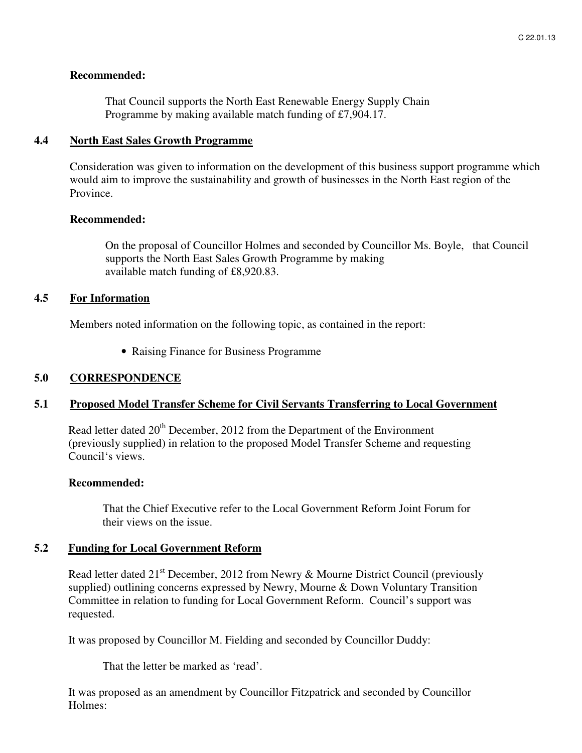#### **Recommended:**

That Council supports the North East Renewable Energy Supply Chain Programme by making available match funding of £7,904.17.

#### **4.4 North East Sales Growth Programme**

Consideration was given to information on the development of this business support programme which would aim to improve the sustainability and growth of businesses in the North East region of the Province.

#### **Recommended:**

On the proposal of Councillor Holmes and seconded by Councillor Ms. Boyle, that Council supports the North East Sales Growth Programme by making available match funding of £8,920.83.

#### **4.5 For Information**

Members noted information on the following topic, as contained in the report:

• Raising Finance for Business Programme

#### **5.0 CORRESPONDENCE**

#### **5.1 Proposed Model Transfer Scheme for Civil Servants Transferring to Local Government**

Read letter dated 20<sup>th</sup> December, 2012 from the Department of the Environment (previously supplied) in relation to the proposed Model Transfer Scheme and requesting Council's views.

#### **Recommended:**

That the Chief Executive refer to the Local Government Reform Joint Forum for their views on the issue.

#### **5.2 Funding for Local Government Reform**

Read letter dated 21<sup>st</sup> December, 2012 from Newry & Mourne District Council (previously supplied) outlining concerns expressed by Newry, Mourne & Down Voluntary Transition Committee in relation to funding for Local Government Reform. Council's support was requested.

It was proposed by Councillor M. Fielding and seconded by Councillor Duddy:

That the letter be marked as 'read'.

It was proposed as an amendment by Councillor Fitzpatrick and seconded by Councillor Holmes: